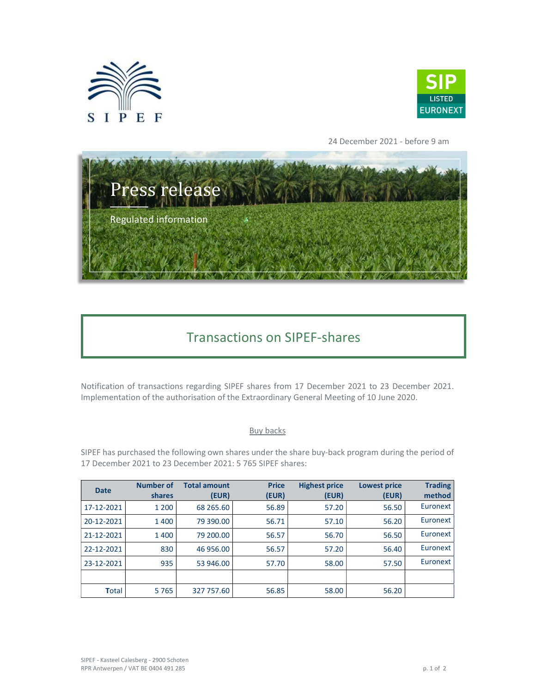



24 December 2021 - before 9 am



## Transactions on SIPEF-shares

Notification of transactions regarding SIPEF shares from 17 December 2021 to 23 December 2021. Implementation of the authorisation of the Extraordinary General Meeting of 10 June 2020.

## Buy backs

SIPEF has purchased the following own shares under the share buy-back program during the period of 17 December 2021 to 23 December 2021: 5 765 SIPEF shares:

| <b>Date</b> | <b>Number of</b><br>shares | <b>Total amount</b><br>(EUR) | <b>Price</b><br>(EUR) | <b>Highest price</b><br>(EUR) | <b>Lowest price</b><br>(EUR) | <b>Trading</b><br>method |
|-------------|----------------------------|------------------------------|-----------------------|-------------------------------|------------------------------|--------------------------|
| 17-12-2021  | 1 2 0 0                    | 68 265.60                    | 56.89                 | 57.20                         | 56.50                        | Euronext                 |
| 20-12-2021  | 1400                       | 79 390.00                    | 56.71                 | 57.10                         | 56.20                        | Euronext                 |
| 21-12-2021  | 1400                       | 79 200.00                    | 56.57                 | 56.70                         | 56.50                        | Euronext                 |
| 22-12-2021  | 830                        | 46 956.00                    | 56.57                 | 57.20                         | 56.40                        | Euronext                 |
| 23-12-2021  | 935                        | 53 946.00                    | 57.70                 | 58.00                         | 57.50                        | Euronext                 |
|             |                            |                              |                       |                               |                              |                          |
| Total       | 5765                       | 327 757.60                   | 56.85                 | 58.00                         | 56.20                        |                          |